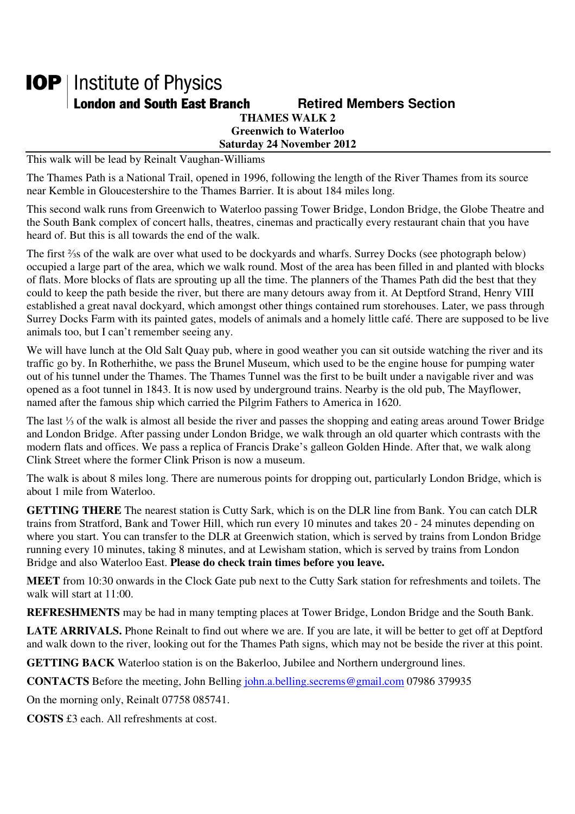## **IOP** | Institute of Physics **London and South East Branch Famely Retired Members Section THAMES WALK 2**

**Greenwich to Waterloo Saturday 24 November 2012** 

This walk will be lead by Reinalt Vaughan-Williams

The Thames Path is a National Trail, opened in 1996, following the length of the River Thames from its source near Kemble in Gloucestershire to the Thames Barrier. It is about 184 miles long.

This second walk runs from Greenwich to Waterloo passing Tower Bridge, London Bridge, the Globe Theatre and the South Bank complex of concert halls, theatres, cinemas and practically every restaurant chain that you have heard of. But this is all towards the end of the walk.

The first ⅔s of the walk are over what used to be dockyards and wharfs. Surrey Docks (see photograph below) occupied a large part of the area, which we walk round. Most of the area has been filled in and planted with blocks of flats. More blocks of flats are sprouting up all the time. The planners of the Thames Path did the best that they could to keep the path beside the river, but there are many detours away from it. At Deptford Strand, Henry VIII established a great naval dockyard, which amongst other things contained rum storehouses. Later, we pass through Surrey Docks Farm with its painted gates, models of animals and a homely little café. There are supposed to be live animals too, but I can't remember seeing any.

We will have lunch at the Old Salt Quay pub, where in good weather you can sit outside watching the river and its traffic go by. In Rotherhithe, we pass the Brunel Museum, which used to be the engine house for pumping water out of his tunnel under the Thames. The Thames Tunnel was the first to be built under a navigable river and was opened as a foot tunnel in 1843. It is now used by underground trains. Nearby is the old pub, The Mayflower, named after the famous ship which carried the Pilgrim Fathers to America in 1620.

The last ⅓ of the walk is almost all beside the river and passes the shopping and eating areas around Tower Bridge and London Bridge. After passing under London Bridge, we walk through an old quarter which contrasts with the modern flats and offices. We pass a replica of Francis Drake's galleon Golden Hinde. After that, we walk along Clink Street where the former Clink Prison is now a museum.

The walk is about 8 miles long. There are numerous points for dropping out, particularly London Bridge, which is about 1 mile from Waterloo.

**GETTING THERE** The nearest station is Cutty Sark, which is on the DLR line from Bank. You can catch DLR trains from Stratford, Bank and Tower Hill, which run every 10 minutes and takes 20 - 24 minutes depending on where you start. You can transfer to the DLR at Greenwich station, which is served by trains from London Bridge running every 10 minutes, taking 8 minutes, and at Lewisham station, which is served by trains from London Bridge and also Waterloo East. **Please do check train times before you leave.**

**MEET** from 10:30 onwards in the Clock Gate pub next to the Cutty Sark station for refreshments and toilets. The walk will start at 11:00.

**REFRESHMENTS** may be had in many tempting places at Tower Bridge, London Bridge and the South Bank.

**LATE ARRIVALS.** Phone Reinalt to find out where we are. If you are late, it will be better to get off at Deptford and walk down to the river, looking out for the Thames Path signs, which may not be beside the river at this point.

**GETTING BACK** Waterloo station is on the Bakerloo, Jubilee and Northern underground lines.

**CONTACTS** Before the meeting, John Belling john.a.belling.secrems@gmail.com 07986 379935

On the morning only, Reinalt 07758 085741.

**COSTS** £3 each. All refreshments at cost.